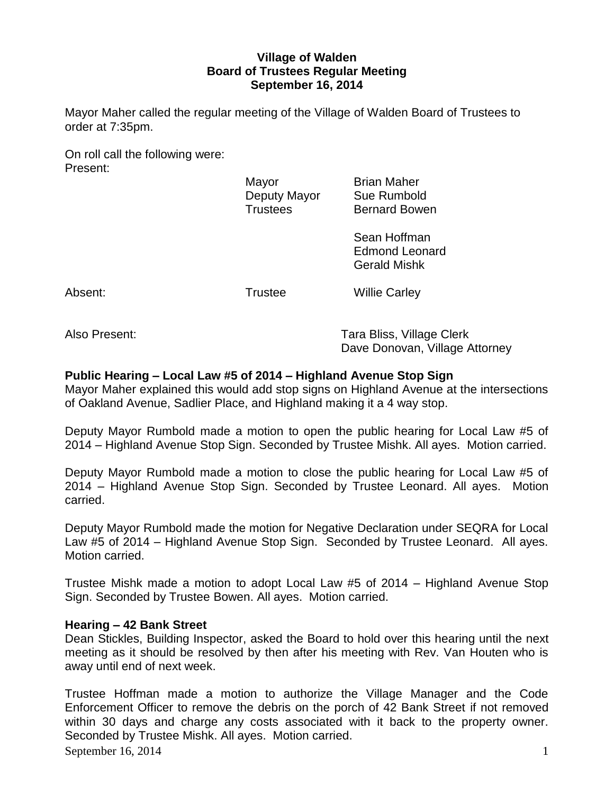## **Village of Walden Board of Trustees Regular Meeting September 16, 2014**

Mayor Maher called the regular meeting of the Village of Walden Board of Trustees to order at 7:35pm.

On roll call the following were: Present:

Mayor **Brian Maher** Deputy Mayor Sue Rumbold Trustees Bernard Bowen

> Sean Hoffman Edmond Leonard Gerald Mishk

Absent: Trustee Willie Carley

Also Present: Tara Bliss, Village Clerk Dave Donovan, Village Attorney

# **Public Hearing – Local Law #5 of 2014 – Highland Avenue Stop Sign**

Mayor Maher explained this would add stop signs on Highland Avenue at the intersections of Oakland Avenue, Sadlier Place, and Highland making it a 4 way stop.

Deputy Mayor Rumbold made a motion to open the public hearing for Local Law #5 of 2014 – Highland Avenue Stop Sign. Seconded by Trustee Mishk. All ayes. Motion carried.

Deputy Mayor Rumbold made a motion to close the public hearing for Local Law #5 of 2014 – Highland Avenue Stop Sign. Seconded by Trustee Leonard. All ayes. Motion carried.

Deputy Mayor Rumbold made the motion for Negative Declaration under SEQRA for Local Law #5 of 2014 – Highland Avenue Stop Sign. Seconded by Trustee Leonard. All ayes. Motion carried.

Trustee Mishk made a motion to adopt Local Law #5 of 2014 – Highland Avenue Stop Sign. Seconded by Trustee Bowen. All ayes. Motion carried.

## **Hearing – 42 Bank Street**

Dean Stickles, Building Inspector, asked the Board to hold over this hearing until the next meeting as it should be resolved by then after his meeting with Rev. Van Houten who is away until end of next week.

September 16, 2014  $\qquad \qquad$  1 Trustee Hoffman made a motion to authorize the Village Manager and the Code Enforcement Officer to remove the debris on the porch of 42 Bank Street if not removed within 30 days and charge any costs associated with it back to the property owner. Seconded by Trustee Mishk. All ayes. Motion carried.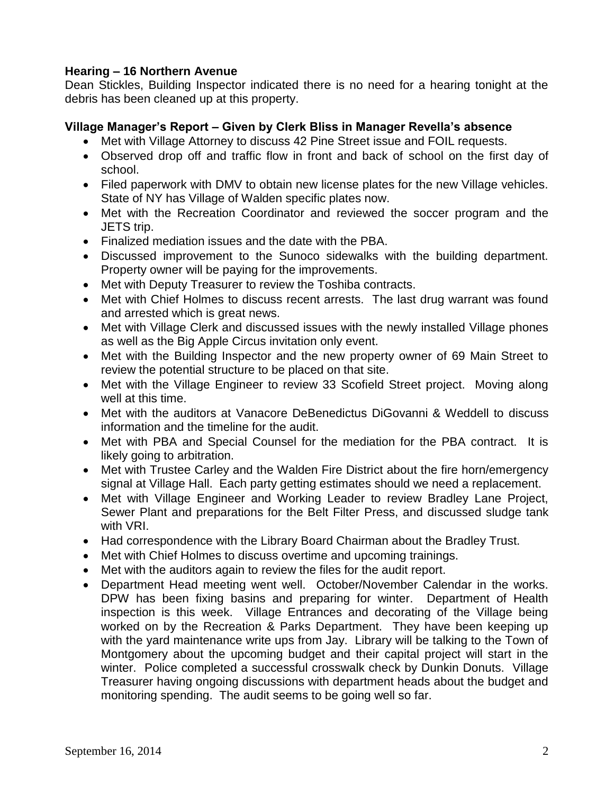## **Hearing – 16 Northern Avenue**

Dean Stickles, Building Inspector indicated there is no need for a hearing tonight at the debris has been cleaned up at this property.

## **Village Manager's Report – Given by Clerk Bliss in Manager Revella's absence**

- Met with Village Attorney to discuss 42 Pine Street issue and FOIL requests.
- Observed drop off and traffic flow in front and back of school on the first day of school.
- Filed paperwork with DMV to obtain new license plates for the new Village vehicles. State of NY has Village of Walden specific plates now.
- Met with the Recreation Coordinator and reviewed the soccer program and the JETS trip.
- Finalized mediation issues and the date with the PBA.
- Discussed improvement to the Sunoco sidewalks with the building department. Property owner will be paying for the improvements.
- Met with Deputy Treasurer to review the Toshiba contracts.
- Met with Chief Holmes to discuss recent arrests. The last drug warrant was found and arrested which is great news.
- Met with Village Clerk and discussed issues with the newly installed Village phones as well as the Big Apple Circus invitation only event.
- Met with the Building Inspector and the new property owner of 69 Main Street to review the potential structure to be placed on that site.
- Met with the Village Engineer to review 33 Scofield Street project. Moving along well at this time.
- Met with the auditors at Vanacore DeBenedictus DiGovanni & Weddell to discuss information and the timeline for the audit.
- Met with PBA and Special Counsel for the mediation for the PBA contract. It is likely going to arbitration.
- Met with Trustee Carley and the Walden Fire District about the fire horn/emergency signal at Village Hall. Each party getting estimates should we need a replacement.
- Met with Village Engineer and Working Leader to review Bradley Lane Project, Sewer Plant and preparations for the Belt Filter Press, and discussed sludge tank with VRI.
- Had correspondence with the Library Board Chairman about the Bradley Trust.
- Met with Chief Holmes to discuss overtime and upcoming trainings.
- Met with the auditors again to review the files for the audit report.
- Department Head meeting went well. October/November Calendar in the works. DPW has been fixing basins and preparing for winter. Department of Health inspection is this week. Village Entrances and decorating of the Village being worked on by the Recreation & Parks Department. They have been keeping up with the yard maintenance write ups from Jay. Library will be talking to the Town of Montgomery about the upcoming budget and their capital project will start in the winter. Police completed a successful crosswalk check by Dunkin Donuts. Village Treasurer having ongoing discussions with department heads about the budget and monitoring spending. The audit seems to be going well so far.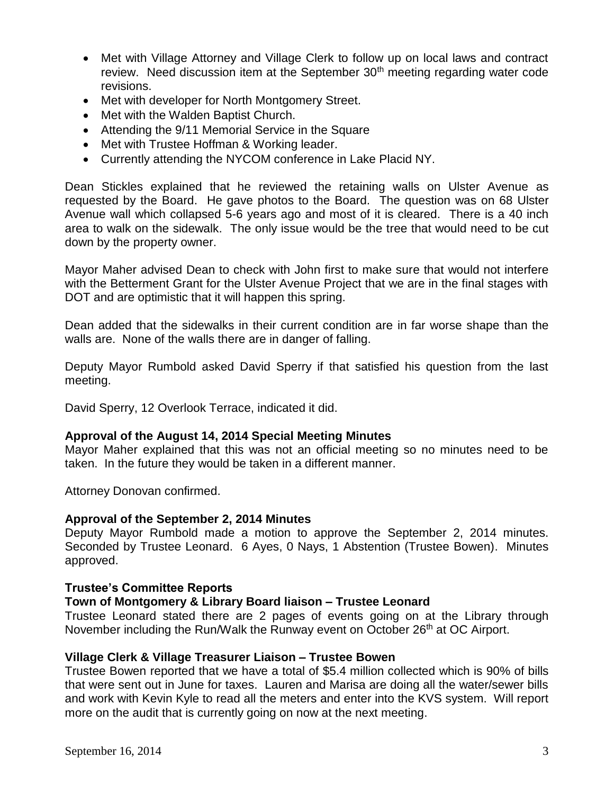- Met with Village Attorney and Village Clerk to follow up on local laws and contract review. Need discussion item at the September 30<sup>th</sup> meeting regarding water code revisions.
- Met with developer for North Montgomery Street.
- Met with the Walden Baptist Church.
- Attending the 9/11 Memorial Service in the Square
- Met with Trustee Hoffman & Working leader.
- Currently attending the NYCOM conference in Lake Placid NY.

Dean Stickles explained that he reviewed the retaining walls on Ulster Avenue as requested by the Board. He gave photos to the Board. The question was on 68 Ulster Avenue wall which collapsed 5-6 years ago and most of it is cleared. There is a 40 inch area to walk on the sidewalk. The only issue would be the tree that would need to be cut down by the property owner.

Mayor Maher advised Dean to check with John first to make sure that would not interfere with the Betterment Grant for the Ulster Avenue Project that we are in the final stages with DOT and are optimistic that it will happen this spring.

Dean added that the sidewalks in their current condition are in far worse shape than the walls are. None of the walls there are in danger of falling.

Deputy Mayor Rumbold asked David Sperry if that satisfied his question from the last meeting.

David Sperry, 12 Overlook Terrace, indicated it did.

## **Approval of the August 14, 2014 Special Meeting Minutes**

Mayor Maher explained that this was not an official meeting so no minutes need to be taken. In the future they would be taken in a different manner.

Attorney Donovan confirmed.

### **Approval of the September 2, 2014 Minutes**

Deputy Mayor Rumbold made a motion to approve the September 2, 2014 minutes. Seconded by Trustee Leonard. 6 Ayes, 0 Nays, 1 Abstention (Trustee Bowen). Minutes approved.

### **Trustee's Committee Reports**

### **Town of Montgomery & Library Board liaison – Trustee Leonard**

Trustee Leonard stated there are 2 pages of events going on at the Library through November including the Run/Walk the Runway event on October 26<sup>th</sup> at OC Airport.

## **Village Clerk & Village Treasurer Liaison – Trustee Bowen**

Trustee Bowen reported that we have a total of \$5.4 million collected which is 90% of bills that were sent out in June for taxes. Lauren and Marisa are doing all the water/sewer bills and work with Kevin Kyle to read all the meters and enter into the KVS system. Will report more on the audit that is currently going on now at the next meeting.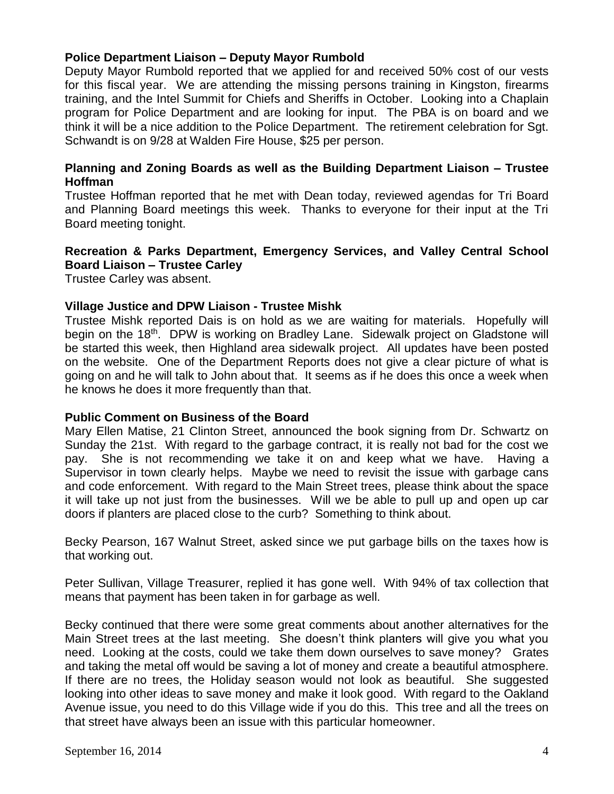## **Police Department Liaison – Deputy Mayor Rumbold**

Deputy Mayor Rumbold reported that we applied for and received 50% cost of our vests for this fiscal year. We are attending the missing persons training in Kingston, firearms training, and the Intel Summit for Chiefs and Sheriffs in October. Looking into a Chaplain program for Police Department and are looking for input. The PBA is on board and we think it will be a nice addition to the Police Department. The retirement celebration for Sgt. Schwandt is on 9/28 at Walden Fire House, \$25 per person.

## **Planning and Zoning Boards as well as the Building Department Liaison – Trustee Hoffman**

Trustee Hoffman reported that he met with Dean today, reviewed agendas for Tri Board and Planning Board meetings this week. Thanks to everyone for their input at the Tri Board meeting tonight.

## **Recreation & Parks Department, Emergency Services, and Valley Central School Board Liaison – Trustee Carley**

Trustee Carley was absent.

### **Village Justice and DPW Liaison - Trustee Mishk**

Trustee Mishk reported Dais is on hold as we are waiting for materials. Hopefully will begin on the 18<sup>th</sup>. DPW is working on Bradley Lane. Sidewalk project on Gladstone will be started this week, then Highland area sidewalk project. All updates have been posted on the website. One of the Department Reports does not give a clear picture of what is going on and he will talk to John about that. It seems as if he does this once a week when he knows he does it more frequently than that.

### **Public Comment on Business of the Board**

Mary Ellen Matise, 21 Clinton Street, announced the book signing from Dr. Schwartz on Sunday the 21st. With regard to the garbage contract, it is really not bad for the cost we pay. She is not recommending we take it on and keep what we have. Having a Supervisor in town clearly helps. Maybe we need to revisit the issue with garbage cans and code enforcement. With regard to the Main Street trees, please think about the space it will take up not just from the businesses. Will we be able to pull up and open up car doors if planters are placed close to the curb? Something to think about.

Becky Pearson, 167 Walnut Street, asked since we put garbage bills on the taxes how is that working out.

Peter Sullivan, Village Treasurer, replied it has gone well. With 94% of tax collection that means that payment has been taken in for garbage as well.

Becky continued that there were some great comments about another alternatives for the Main Street trees at the last meeting. She doesn't think planters will give you what you need. Looking at the costs, could we take them down ourselves to save money? Grates and taking the metal off would be saving a lot of money and create a beautiful atmosphere. If there are no trees, the Holiday season would not look as beautiful. She suggested looking into other ideas to save money and make it look good. With regard to the Oakland Avenue issue, you need to do this Village wide if you do this. This tree and all the trees on that street have always been an issue with this particular homeowner.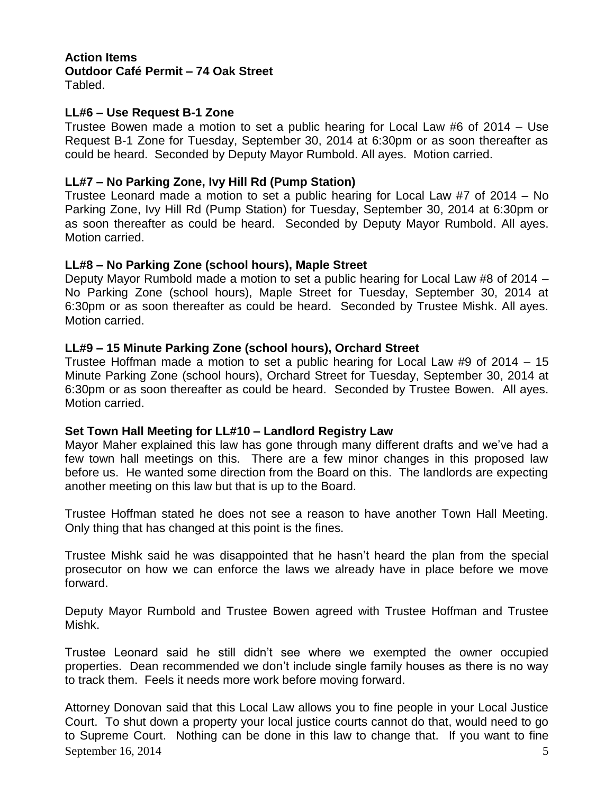### **Action Items Outdoor Café Permit – 74 Oak Street** Tabled.

## **LL#6 – Use Request B-1 Zone**

Trustee Bowen made a motion to set a public hearing for Local Law #6 of 2014 – Use Request B-1 Zone for Tuesday, September 30, 2014 at 6:30pm or as soon thereafter as could be heard. Seconded by Deputy Mayor Rumbold. All ayes. Motion carried.

## **LL#7 – No Parking Zone, Ivy Hill Rd (Pump Station)**

Trustee Leonard made a motion to set a public hearing for Local Law #7 of 2014 – No Parking Zone, Ivy Hill Rd (Pump Station) for Tuesday, September 30, 2014 at 6:30pm or as soon thereafter as could be heard. Seconded by Deputy Mayor Rumbold. All ayes. Motion carried.

## **LL#8 – No Parking Zone (school hours), Maple Street**

Deputy Mayor Rumbold made a motion to set a public hearing for Local Law #8 of 2014 – No Parking Zone (school hours), Maple Street for Tuesday, September 30, 2014 at 6:30pm or as soon thereafter as could be heard. Seconded by Trustee Mishk. All ayes. Motion carried.

## **LL#9 – 15 Minute Parking Zone (school hours), Orchard Street**

Trustee Hoffman made a motion to set a public hearing for Local Law #9 of 2014 – 15 Minute Parking Zone (school hours), Orchard Street for Tuesday, September 30, 2014 at 6:30pm or as soon thereafter as could be heard. Seconded by Trustee Bowen. All ayes. Motion carried.

## **Set Town Hall Meeting for LL#10 – Landlord Registry Law**

Mayor Maher explained this law has gone through many different drafts and we've had a few town hall meetings on this. There are a few minor changes in this proposed law before us. He wanted some direction from the Board on this. The landlords are expecting another meeting on this law but that is up to the Board.

Trustee Hoffman stated he does not see a reason to have another Town Hall Meeting. Only thing that has changed at this point is the fines.

Trustee Mishk said he was disappointed that he hasn't heard the plan from the special prosecutor on how we can enforce the laws we already have in place before we move forward.

Deputy Mayor Rumbold and Trustee Bowen agreed with Trustee Hoffman and Trustee Mishk.

Trustee Leonard said he still didn't see where we exempted the owner occupied properties. Dean recommended we don't include single family houses as there is no way to track them. Feels it needs more work before moving forward.

September 16, 2014  $\overline{5}$ Attorney Donovan said that this Local Law allows you to fine people in your Local Justice Court. To shut down a property your local justice courts cannot do that, would need to go to Supreme Court. Nothing can be done in this law to change that. If you want to fine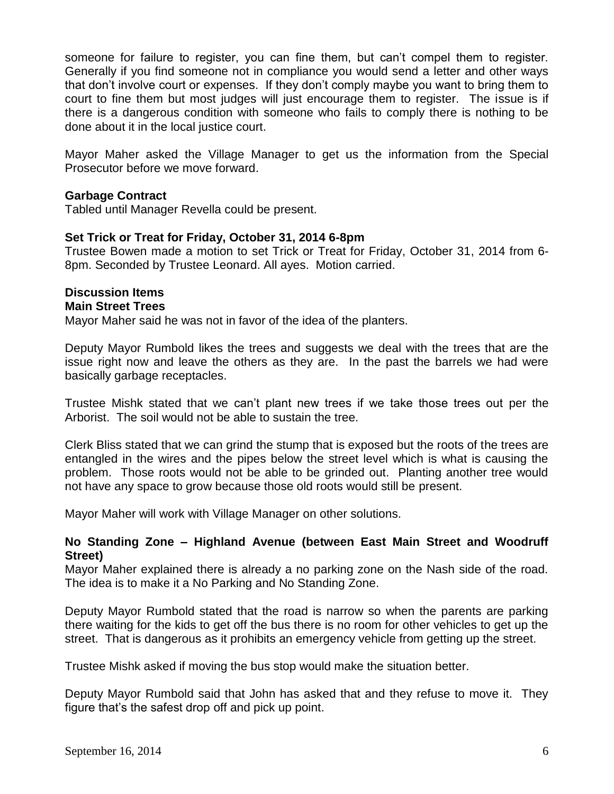someone for failure to register, you can fine them, but can't compel them to register. Generally if you find someone not in compliance you would send a letter and other ways that don't involve court or expenses. If they don't comply maybe you want to bring them to court to fine them but most judges will just encourage them to register. The issue is if there is a dangerous condition with someone who fails to comply there is nothing to be done about it in the local justice court.

Mayor Maher asked the Village Manager to get us the information from the Special Prosecutor before we move forward.

### **Garbage Contract**

Tabled until Manager Revella could be present.

### **Set Trick or Treat for Friday, October 31, 2014 6-8pm**

Trustee Bowen made a motion to set Trick or Treat for Friday, October 31, 2014 from 6- 8pm. Seconded by Trustee Leonard. All ayes. Motion carried.

#### **Discussion Items Main Street Trees**

Mayor Maher said he was not in favor of the idea of the planters.

Deputy Mayor Rumbold likes the trees and suggests we deal with the trees that are the issue right now and leave the others as they are. In the past the barrels we had were basically garbage receptacles.

Trustee Mishk stated that we can't plant new trees if we take those trees out per the Arborist. The soil would not be able to sustain the tree.

Clerk Bliss stated that we can grind the stump that is exposed but the roots of the trees are entangled in the wires and the pipes below the street level which is what is causing the problem. Those roots would not be able to be grinded out. Planting another tree would not have any space to grow because those old roots would still be present.

Mayor Maher will work with Village Manager on other solutions.

### **No Standing Zone – Highland Avenue (between East Main Street and Woodruff Street)**

Mayor Maher explained there is already a no parking zone on the Nash side of the road. The idea is to make it a No Parking and No Standing Zone.

Deputy Mayor Rumbold stated that the road is narrow so when the parents are parking there waiting for the kids to get off the bus there is no room for other vehicles to get up the street. That is dangerous as it prohibits an emergency vehicle from getting up the street.

Trustee Mishk asked if moving the bus stop would make the situation better.

Deputy Mayor Rumbold said that John has asked that and they refuse to move it. They figure that's the safest drop off and pick up point.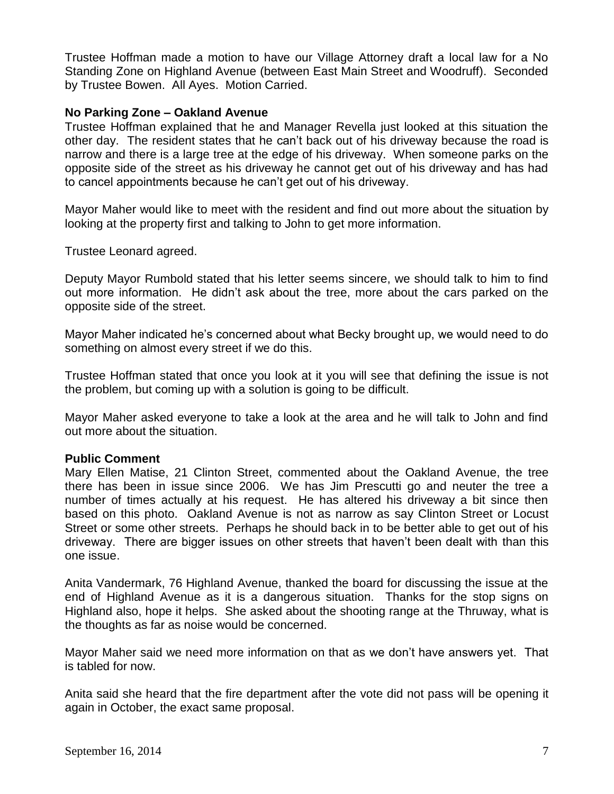Trustee Hoffman made a motion to have our Village Attorney draft a local law for a No Standing Zone on Highland Avenue (between East Main Street and Woodruff). Seconded by Trustee Bowen. All Ayes. Motion Carried.

## **No Parking Zone – Oakland Avenue**

Trustee Hoffman explained that he and Manager Revella just looked at this situation the other day. The resident states that he can't back out of his driveway because the road is narrow and there is a large tree at the edge of his driveway. When someone parks on the opposite side of the street as his driveway he cannot get out of his driveway and has had to cancel appointments because he can't get out of his driveway.

Mayor Maher would like to meet with the resident and find out more about the situation by looking at the property first and talking to John to get more information.

Trustee Leonard agreed.

Deputy Mayor Rumbold stated that his letter seems sincere, we should talk to him to find out more information. He didn't ask about the tree, more about the cars parked on the opposite side of the street.

Mayor Maher indicated he's concerned about what Becky brought up, we would need to do something on almost every street if we do this.

Trustee Hoffman stated that once you look at it you will see that defining the issue is not the problem, but coming up with a solution is going to be difficult.

Mayor Maher asked everyone to take a look at the area and he will talk to John and find out more about the situation.

### **Public Comment**

Mary Ellen Matise, 21 Clinton Street, commented about the Oakland Avenue, the tree there has been in issue since 2006. We has Jim Prescutti go and neuter the tree a number of times actually at his request. He has altered his driveway a bit since then based on this photo. Oakland Avenue is not as narrow as say Clinton Street or Locust Street or some other streets. Perhaps he should back in to be better able to get out of his driveway. There are bigger issues on other streets that haven't been dealt with than this one issue.

Anita Vandermark, 76 Highland Avenue, thanked the board for discussing the issue at the end of Highland Avenue as it is a dangerous situation. Thanks for the stop signs on Highland also, hope it helps. She asked about the shooting range at the Thruway, what is the thoughts as far as noise would be concerned.

Mayor Maher said we need more information on that as we don't have answers yet. That is tabled for now.

Anita said she heard that the fire department after the vote did not pass will be opening it again in October, the exact same proposal.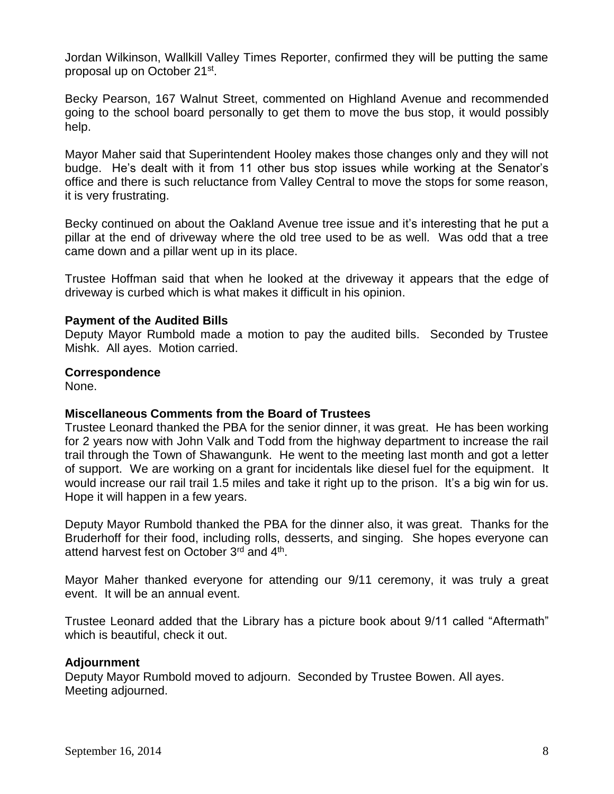Jordan Wilkinson, Wallkill Valley Times Reporter, confirmed they will be putting the same proposal up on October 21<sup>st</sup>.

Becky Pearson, 167 Walnut Street, commented on Highland Avenue and recommended going to the school board personally to get them to move the bus stop, it would possibly help.

Mayor Maher said that Superintendent Hooley makes those changes only and they will not budge. He's dealt with it from 11 other bus stop issues while working at the Senator's office and there is such reluctance from Valley Central to move the stops for some reason, it is very frustrating.

Becky continued on about the Oakland Avenue tree issue and it's interesting that he put a pillar at the end of driveway where the old tree used to be as well. Was odd that a tree came down and a pillar went up in its place.

Trustee Hoffman said that when he looked at the driveway it appears that the edge of driveway is curbed which is what makes it difficult in his opinion.

### **Payment of the Audited Bills**

Deputy Mayor Rumbold made a motion to pay the audited bills. Seconded by Trustee Mishk. All ayes. Motion carried.

### **Correspondence**

None.

### **Miscellaneous Comments from the Board of Trustees**

Trustee Leonard thanked the PBA for the senior dinner, it was great. He has been working for 2 years now with John Valk and Todd from the highway department to increase the rail trail through the Town of Shawangunk. He went to the meeting last month and got a letter of support. We are working on a grant for incidentals like diesel fuel for the equipment. It would increase our rail trail 1.5 miles and take it right up to the prison. It's a big win for us. Hope it will happen in a few years.

Deputy Mayor Rumbold thanked the PBA for the dinner also, it was great. Thanks for the Bruderhoff for their food, including rolls, desserts, and singing. She hopes everyone can attend harvest fest on October 3<sup>rd</sup> and 4<sup>th</sup>.

Mayor Maher thanked everyone for attending our 9/11 ceremony, it was truly a great event. It will be an annual event.

Trustee Leonard added that the Library has a picture book about 9/11 called "Aftermath" which is beautiful, check it out.

### **Adjournment**

Deputy Mayor Rumbold moved to adjourn. Seconded by Trustee Bowen. All ayes. Meeting adjourned.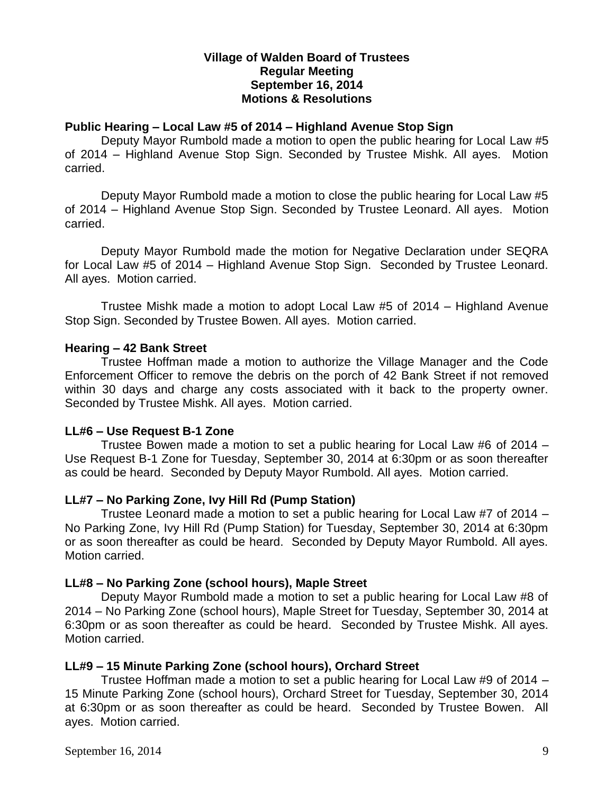## **Village of Walden Board of Trustees Regular Meeting September 16, 2014 Motions & Resolutions**

## **Public Hearing – Local Law #5 of 2014 – Highland Avenue Stop Sign**

Deputy Mayor Rumbold made a motion to open the public hearing for Local Law #5 of 2014 – Highland Avenue Stop Sign. Seconded by Trustee Mishk. All ayes. Motion carried.

Deputy Mayor Rumbold made a motion to close the public hearing for Local Law #5 of 2014 – Highland Avenue Stop Sign. Seconded by Trustee Leonard. All ayes. Motion carried.

Deputy Mayor Rumbold made the motion for Negative Declaration under SEQRA for Local Law #5 of 2014 – Highland Avenue Stop Sign. Seconded by Trustee Leonard. All ayes. Motion carried.

Trustee Mishk made a motion to adopt Local Law #5 of 2014 – Highland Avenue Stop Sign. Seconded by Trustee Bowen. All ayes. Motion carried.

### **Hearing – 42 Bank Street**

Trustee Hoffman made a motion to authorize the Village Manager and the Code Enforcement Officer to remove the debris on the porch of 42 Bank Street if not removed within 30 days and charge any costs associated with it back to the property owner. Seconded by Trustee Mishk. All ayes. Motion carried.

### **LL#6 – Use Request B-1 Zone**

Trustee Bowen made a motion to set a public hearing for Local Law #6 of 2014 – Use Request B-1 Zone for Tuesday, September 30, 2014 at 6:30pm or as soon thereafter as could be heard. Seconded by Deputy Mayor Rumbold. All ayes. Motion carried.

## **LL#7 – No Parking Zone, Ivy Hill Rd (Pump Station)**

Trustee Leonard made a motion to set a public hearing for Local Law #7 of 2014 – No Parking Zone, Ivy Hill Rd (Pump Station) for Tuesday, September 30, 2014 at 6:30pm or as soon thereafter as could be heard. Seconded by Deputy Mayor Rumbold. All ayes. Motion carried.

## **LL#8 – No Parking Zone (school hours), Maple Street**

Deputy Mayor Rumbold made a motion to set a public hearing for Local Law #8 of 2014 – No Parking Zone (school hours), Maple Street for Tuesday, September 30, 2014 at 6:30pm or as soon thereafter as could be heard. Seconded by Trustee Mishk. All ayes. Motion carried.

### **LL#9 – 15 Minute Parking Zone (school hours), Orchard Street**

Trustee Hoffman made a motion to set a public hearing for Local Law #9 of 2014 – 15 Minute Parking Zone (school hours), Orchard Street for Tuesday, September 30, 2014 at 6:30pm or as soon thereafter as could be heard. Seconded by Trustee Bowen. All ayes. Motion carried.